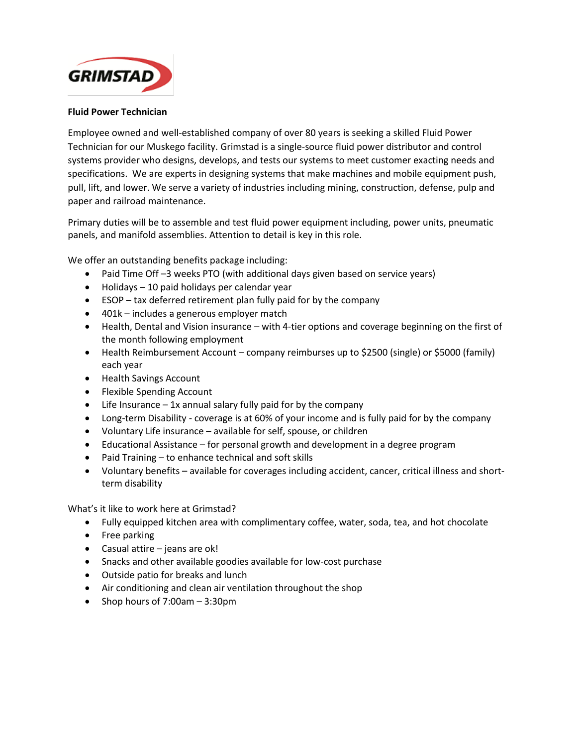

## **Fluid Power Technician**

Employee owned and well-established company of over 80 years is seeking a skilled Fluid Power Technician for our Muskego facility. Grimstad is a single-source fluid power distributor and control systems provider who designs, develops, and tests our systems to meet customer exacting needs and specifications. We are experts in designing systems that make machines and mobile equipment push, pull, lift, and lower. We serve a variety of industries including mining, construction, defense, pulp and paper and railroad maintenance.

Primary duties will be to assemble and test fluid power equipment including, power units, pneumatic panels, and manifold assemblies. Attention to detail is key in this role.

We offer an outstanding benefits package including:

- Paid Time Off -3 weeks PTO (with additional days given based on service years)
- Holidays 10 paid holidays per calendar year
- ESOP tax deferred retirement plan fully paid for by the company
- 401k includes a generous employer match
- Health, Dental and Vision insurance with 4-tier options and coverage beginning on the first of the month following employment
- Health Reimbursement Account company reimburses up to \$2500 (single) or \$5000 (family) each year
- Health Savings Account
- Flexible Spending Account
- $\bullet$  Life Insurance  $-1x$  annual salary fully paid for by the company
- Long-term Disability coverage is at 60% of your income and is fully paid for by the company
- Voluntary Life insurance available for self, spouse, or children
- Educational Assistance for personal growth and development in a degree program
- Paid Training to enhance technical and soft skills
- Voluntary benefits available for coverages including accident, cancer, critical illness and shortterm disability

What's it like to work here at Grimstad?

- Fully equipped kitchen area with complimentary coffee, water, soda, tea, and hot chocolate
- Free parking
- Casual attire jeans are ok!
- Snacks and other available goodies available for low-cost purchase
- Outside patio for breaks and lunch
- Air conditioning and clean air ventilation throughout the shop
- Shop hours of  $7:00$ am  $-3:30$ pm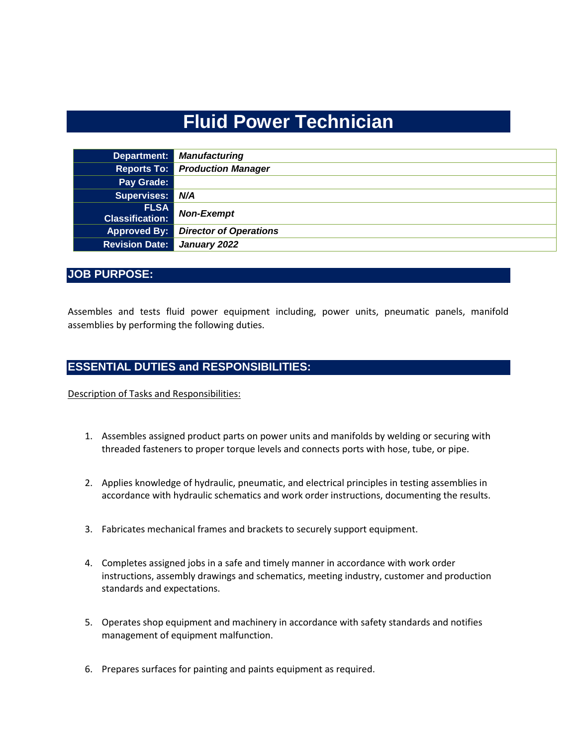# **Fluid Power Technician**

| Department:                           | <b>Manufacturing</b>                  |
|---------------------------------------|---------------------------------------|
|                                       | <b>Reports To: Production Manager</b> |
| Pay Grade:                            |                                       |
| Supervises:                           | N/A                                   |
| <b>FLSA</b><br><b>Classification:</b> | <b>Non-Exempt</b>                     |
| <b>Approved By:</b>                   | <b>Director of Operations</b>         |
| <b>Revision Date:</b>                 | January 2022                          |

# **JOB PURPOSE:**

Assembles and tests fluid power equipment including, power units, pneumatic panels, manifold assemblies by performing the following duties.

## **ESSENTIAL DUTIES and RESPONSIBILITIES:**

Description of Tasks and Responsibilities:

- 1. Assembles assigned product parts on power units and manifolds by welding or securing with threaded fasteners to proper torque levels and connects ports with hose, tube, or pipe.
- 2. Applies knowledge of hydraulic, pneumatic, and electrical principles in testing assemblies in accordance with hydraulic schematics and work order instructions, documenting the results.
- 3. Fabricates mechanical frames and brackets to securely support equipment.
- 4. Completes assigned jobs in a safe and timely manner in accordance with work order instructions, assembly drawings and schematics, meeting industry, customer and production standards and expectations.
- 5. Operates shop equipment and machinery in accordance with safety standards and notifies management of equipment malfunction.
- 6. Prepares surfaces for painting and paints equipment as required.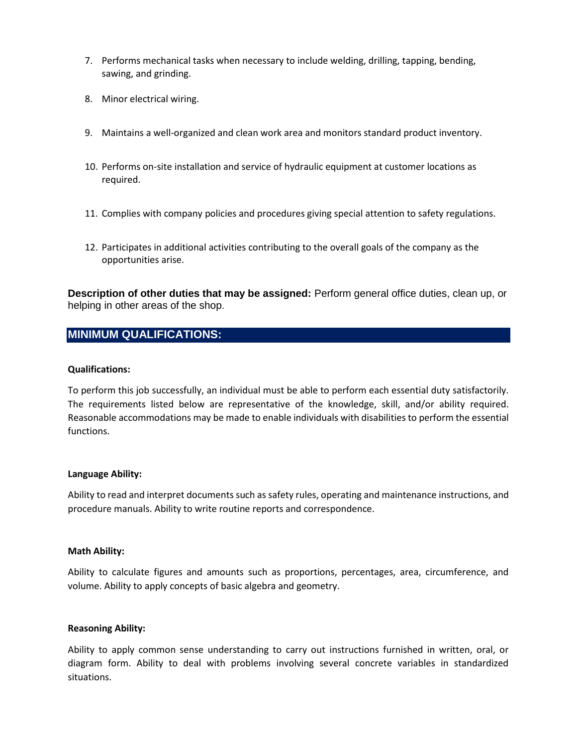- 7. Performs mechanical tasks when necessary to include welding, drilling, tapping, bending, sawing, and grinding.
- 8. Minor electrical wiring.
- 9. Maintains a well-organized and clean work area and monitors standard product inventory.
- 10. Performs on-site installation and service of hydraulic equipment at customer locations as required.
- 11. Complies with company policies and procedures giving special attention to safety regulations.
- 12. Participates in additional activities contributing to the overall goals of the company as the opportunities arise.

**Description of other duties that may be assigned:** Perform general office duties, clean up, or helping in other areas of the shop.

# **MINIMUM QUALIFICATIONS:**

## **Qualifications:**

To perform this job successfully, an individual must be able to perform each essential duty satisfactorily. The requirements listed below are representative of the knowledge, skill, and/or ability required. Reasonable accommodations may be made to enable individuals with disabilities to perform the essential functions.

#### **Language Ability:**

Ability to read and interpret documents such as safety rules, operating and maintenance instructions, and procedure manuals. Ability to write routine reports and correspondence.

#### **Math Ability:**

Ability to calculate figures and amounts such as proportions, percentages, area, circumference, and volume. Ability to apply concepts of basic algebra and geometry.

#### **Reasoning Ability:**

Ability to apply common sense understanding to carry out instructions furnished in written, oral, or diagram form. Ability to deal with problems involving several concrete variables in standardized situations.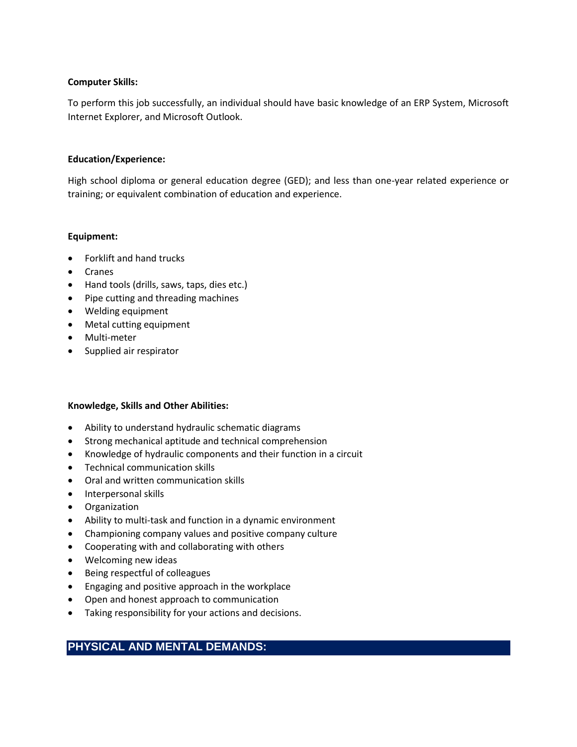## **Computer Skills:**

To perform this job successfully, an individual should have basic knowledge of an ERP System, Microsoft Internet Explorer, and Microsoft Outlook.

#### **Education/Experience:**

High school diploma or general education degree (GED); and less than one-year related experience or training; or equivalent combination of education and experience.

## **Equipment:**

- Forklift and hand trucks
- Cranes
- Hand tools (drills, saws, taps, dies etc.)
- Pipe cutting and threading machines
- Welding equipment
- Metal cutting equipment
- Multi-meter
- Supplied air respirator

## **Knowledge, Skills and Other Abilities:**

- Ability to understand hydraulic schematic diagrams
- Strong mechanical aptitude and technical comprehension
- Knowledge of hydraulic components and their function in a circuit
- Technical communication skills
- Oral and written communication skills
- Interpersonal skills
- Organization
- Ability to multi-task and function in a dynamic environment
- Championing company values and positive company culture
- Cooperating with and collaborating with others
- Welcoming new ideas
- Being respectful of colleagues
- Engaging and positive approach in the workplace
- Open and honest approach to communication
- Taking responsibility for your actions and decisions.

# **PHYSICAL AND MENTAL DEMANDS:**